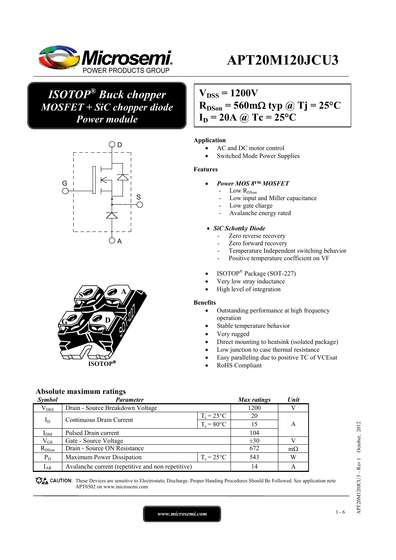

## *ISOTOP® Buck chopper MOSFET + SiC chopper diode Power module*





 $V_{DSS} = 1200V$ 

 $R_{DSon}$  = 560 m $\Omega$  typ @ Tj = 25<sup>o</sup>C

 $I_D = 20A \omega Tc = 25^{\circ}C$ 

#### **Application**

- AC and DC motor control
- Switched Mode Power Supplies

#### **Features**

- *Power MOS 8™ MOSFET* 
	- Low  $R_{\mathrm{DSon}}$
	- Low input and Miller capacitance
	- Low gate charge
	- Avalanche energy rated

#### *SiC Schottky Diode*

- Zero reverse recovery
- Zero forward recovery
- Temperature Independent switching behavior
- Positive temperature coefficient on VF
- ISOTOP<sup>®</sup> Package (SOT-227)
- Very low stray inductance
- High level of integration

### **Benefits**

- Outstanding performance at high frequency operation
- Stable temperature behavior
- Very rugged
- Direct mounting to heatsink (isolated package)
- Low junction to case thermal resistance
- Easy paralleling due to positive TC of VCEsat
- RoHS Compliant

### **Absolute maximum ratings**

| Symbol          | <b>Parameter</b>                                  |                     | Max ratings | Unit      |
|-----------------|---------------------------------------------------|---------------------|-------------|-----------|
| $\rm V_{DSS}$   | Drain - Source Breakdown Voltage                  |                     | 1200        |           |
|                 | Continuous Drain Current                          | $T_c = 25^{\circ}C$ | 20          |           |
| $I_D$           |                                                   | $T_c = 80$ °C       | 15          | A         |
| I <sub>DM</sub> | Pulsed Drain current                              |                     | 104         |           |
| $\rm V_{GS}$    | Gate - Source Voltage                             |                     | $\pm 30$    |           |
| $R_{DSon}$      | Drain - Source ON Resistance                      |                     | 672         | $m\Omega$ |
| $P_D$           | Maximum Power Dissipation                         | $T_c = 25$ °C       | 543         | W         |
| $I_{AR}$        | Avalanche current (repetitive and non repetitive) |                     | 14          |           |

These Devices are sensitive to Electrostatic Discharge. Proper Handing Procedures Should Be Followed. See application note APT0502 on www.microsemi.com

APT20M120JCU3 - Rev 1 October, 2012 APT20M120JCU3 – Rev 1 October, 2012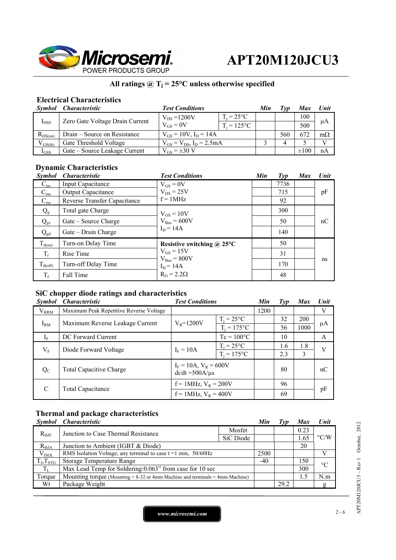

## All ratings  $@T_j = 25°C$  unless otherwise specified

### **Electrical Characteristics**

|              | Symbol Characteristic           | <b>Test Conditions</b>             |                     | Min | ľvn | Max       | Unit      |
|--------------|---------------------------------|------------------------------------|---------------------|-----|-----|-----------|-----------|
|              | Zero Gate Voltage Drain Current | $V_{DS} = 1200V$                   | $T_i = 25^{\circ}C$ |     |     | 100       |           |
| $I_{DSS}$    |                                 | $V_{GS} = 0V$                      | $T_i = 125$ °C      |     |     | 500       | μA        |
| $R_{DS(on)}$ | Drain – Source on Resistance    | $V_{GS} = 10V$ , $I_D = 14A$       |                     |     | 560 | 672       | $m\Omega$ |
| $V_{GS(th)}$ | Gate Threshold Voltage          | $V_{GS} = V_{DS}$ , $I_D = 2.5 mA$ |                     |     |     |           |           |
| $I_{GSS}$    | Gate – Source Leakage Current   | $V_{GS} = \pm 30$ V                |                     |     |     | $\pm 100$ | nA        |

## **Dynamic Characteristics**

| <b>Symbol</b>    | <i><b>Characteristic</b></i> | <b>Test Conditions</b>          | Min | Type | <b>Max</b> | Unit |
|------------------|------------------------------|---------------------------------|-----|------|------------|------|
| $C_{iss}$        | Input Capacitance            | $V_{GS} = 0V$                   |     | 7736 |            |      |
| $C_{\rm oss}$    | Output Capacitance           | $V_{DS}$ = 25V                  |     | 715  |            | pF   |
| $C_{\text{rss}}$ | Reverse Transfer Capacitance | $f = 1MHz$                      |     | 92   |            |      |
| $Q_{g}$          | Total gate Charge            | $V_{GS} = 10V$                  |     | 300  |            |      |
| $Q_{gs}$         | Gate – Source Charge         | $V_{Bus} = 600V$                |     | 50   |            | nC   |
| $Q_{gd}$         | Gate – Drain Charge          | $I_D = 14A$                     |     | 140  |            |      |
| $T_{d(on)}$      | Turn-on Delay Time           | Resistive switching $@$ 25°C    |     | 50   |            |      |
| $T_r$            | Rise Time                    | $V_{GS} = 15V$                  |     | 31   |            |      |
| $T_{d(off)}$     | Turn-off Delay Time          | $V_{Bus} = 800V$<br>$I_D = 14A$ |     | 170  |            | ns   |
| $T_f$            | Fall Time                    | $R_G = 2.2\Omega$               |     | 48   |            |      |

### **SiC chopper diode ratings and characteristics**

| <b>Symbol</b> | <i>Characteristic</i>                               | <b>Test Conditions</b>                             |                     | Min  | Type | <b>Max</b> | <b>Unit</b> |
|---------------|-----------------------------------------------------|----------------------------------------------------|---------------------|------|------|------------|-------------|
| $V_{RRM}$     | Maximum Peak Repetitive Reverse Voltage             |                                                    |                     | 1200 |      |            | V           |
|               | Maximum Reverse Leakage Current                     | $V_{R} = 1200V$                                    | $T_i = 25^{\circ}C$ |      | 32   | 200        |             |
| $I_{RM}$      |                                                     |                                                    | $T_i = 175$ °C      |      | 56   | 1000       | μA          |
| $I_F$         | DC Forward Current                                  |                                                    | $Tc = 100^{\circ}C$ |      | 10   |            | A           |
|               |                                                     |                                                    | $T_i = 25^{\circ}C$ |      | 1.6  | 1.8        | V           |
|               | $V_{\rm F}$<br>$I_F = 10A$<br>Diode Forward Voltage | $T_i = 175$ °C                                     |                     | 2.3  | 3    |            |             |
| $Q_{C}$       | <b>Total Capacitive Charge</b>                      | $I_F = 10A$ , $V_R = 600V$<br>$di/dt = 500A/\mu s$ |                     |      | 80   |            | nC          |
| C             |                                                     | $f = 1$ MHz, $V_R = 200V$                          |                     |      | 96   |            |             |
|               | <b>Total Capacitance</b>                            | $f = 1$ MHz, $V_R = 400V$                          |                     |      | 69   |            | pF          |

## **Thermal and package characteristics**

|                     | Symbol Characteristic                                                             |           | Min   | 1 vp | <b>Max</b> | <b>Unit</b>        |
|---------------------|-----------------------------------------------------------------------------------|-----------|-------|------|------------|--------------------|
| $R_{th,IC}$         | Junction to Case Thermal Resistance                                               | Mosfet    |       |      | 0.23       | $\rm ^{\circ} C/W$ |
|                     |                                                                                   | SiC Diode |       |      | 1.65       |                    |
| $R_{thJA}$          | Junction to Ambient (IGBT & Diode)                                                |           |       |      | 20         |                    |
| $V_{ISOL}$          | RMS Isolation Voltage, any terminal to case $t = 1$ min, $50/60$ Hz               |           | 2500  |      |            |                    |
| $T_{J}$ , $T_{STG}$ | <b>Storage Temperature Range</b>                                                  |           | $-40$ |      | 150        | $\rm ^{\circ}C$    |
| $T_{L}$             | Max Lead Temp for Soldering: 0.063" from case for 10 sec                          |           |       |      | 300        |                    |
| Torque              | Mounting torque (Mounting $= 8-32$ or 4mm Machine and terminals $= 4$ mm Machine) |           |       |      | 1.5        | N.m                |
| Wt                  | Package Weight                                                                    |           |       | 29.2 |            | g                  |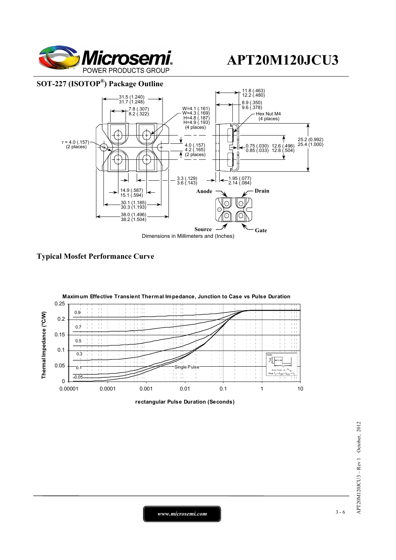

### **SOT-227 (ISOTOP®) Package Outline**







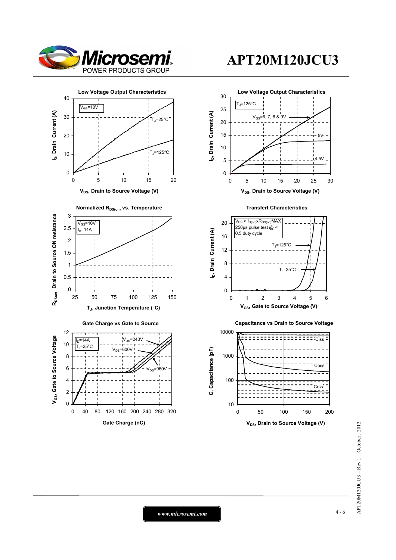

 $\overline{0}$ 

0 40 80 120 160 200 240 280 320 **Gate Charge (nC)**



## **APT20M120JCU3**

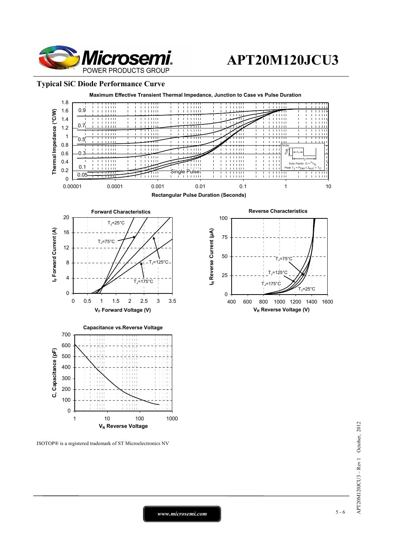

#### **Typical SiC Diode Performance Curve**



ISOTOP® is a registered trademark of ST Microelectronics NV

*www.microsemi.com* 5-6